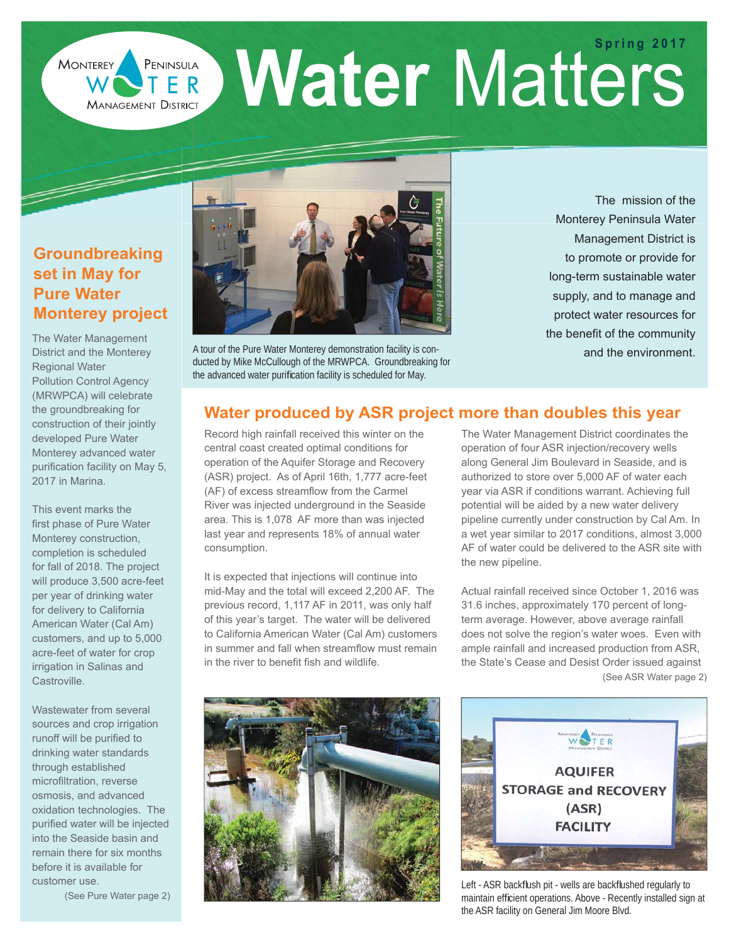**PENINSULA Water Matters MONTEREY MANAGEMENT DISTRICT** 

## **Groundbreaking set in May for Pure Water Monterey project**

**SASS** 

The Water Management District and the Monterey Regional Water Pollution Control Agency (MRWPCA) will celebrate the groundbreaking for construction of their jointly developed Pure Water Monterey advanced water purification facility on May 5, 2017 in Marina.

This event marks the first phase of Pure Water Monterey construction, completion is scheduled for fall of 2018. The project will produce 3,500 acre-feet per year of drinking water for delivery to California American Water (Cal Am) customers, and up to 5,000 acre-feet of water for crop irrigation in Salinas and Castroville.

Wastewater from several sources and crop irrigation runoff will be purified to drinking water standards through established microfiltration, reverse osmosis, and advanced oxidation technologies. The purified water will be injected into the Seaside basin and remain there for six months before it is available for customer use.

(See Pure Water page 2)



A tour of the Pure Water Monterey demonstration facility is conducted by Mike McCullough of the MRWPCA. Groundbreaking for the advanced water purification facility is scheduled for May.

The mission of the Monterey Peninsula Water Management District is to promote or provide for long-term sustainable water supply, and to manage and protect water resources for the benefit of the community and the environment.

### **Water produced by ASR project more than doubles this year**

Record high rainfall received this winter on the central coast created optimal conditions for operation of the Aquifer Storage and Recovery (ASR) project. As of April 16th, 1,777 acre-feet (AF) of excess streamflow from the Carmel River was injected underground in the Seaside area. This is 1,078 AF more than was injected last year and represents 18% of annual water consumption.

It is expected that injections will continue into mid-May and the total will exceed 2,200 AF. The previous record, 1,117 AF in 2011, was only half of this year's target. The water will be delivered to California American Water (Cal Am) customers in summer and fall when streamflow must remain in the river to benefit fish and wildlife.

The Water Management District coordinates the operation of four ASR injection/recovery wells along General Jim Boulevard in Seaside, and is authorized to store over 5,000 AF of water each year via ASR if conditions warrant. Achieving full potential will be aided by a new water delivery pipeline currently under construction by Cal Am. In a wet year similar to 2017 conditions, almost 3,000 AF of water could be delivered to the ASR site with the new pipeline.

Actual rainfall received since October 1, 2016 was 31.6 inches, approximately 170 percent of longterm average. However, above average rainfall does not solve the region's water woes. Even with ample rainfall and increased production from ASR, the State's Cease and Desist Order issued against (See ASR Water page 2)





Left - ASR backflush pit - wells are backflushed regularly to maintain efficient operations. Above - Recently installed sign at the ASR facility on General Jim Moore Blvd.